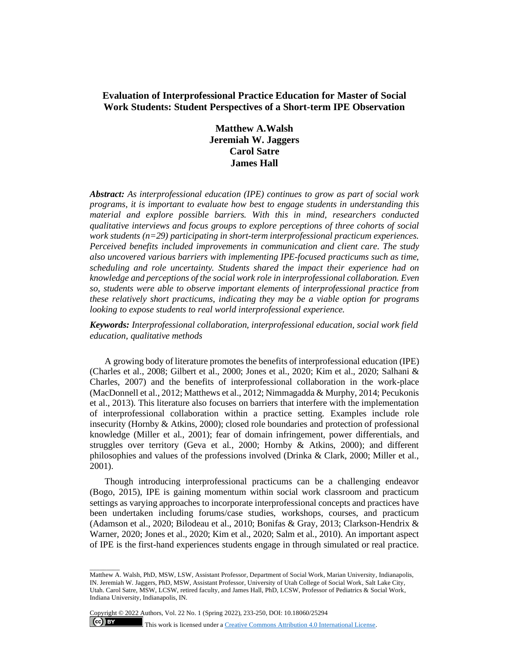# **Evaluation of Interprofessional Practice Education for Master of Social Work Students: Student Perspectives of a Short-term IPE Observation**

**Matthew A.Walsh Jeremiah W. Jaggers Carol Satre James Hall**

*Abstract: As interprofessional education (IPE) continues to grow as part of social work programs, it is important to evaluate how best to engage students in understanding this material and explore possible barriers. With this in mind, researchers conducted qualitative interviews and focus groups to explore perceptions of three cohorts of social work students (n=29) participating in short-term interprofessional practicum experiences. Perceived benefits included improvements in communication and client care. The study also uncovered various barriers with implementing IPE-focused practicums such as time, scheduling and role uncertainty. Students shared the impact their experience had on knowledge and perceptions of the social work role in interprofessional collaboration. Even so, students were able to observe important elements of interprofessional practice from these relatively short practicums, indicating they may be a viable option for programs looking to expose students to real world interprofessional experience.*

*Keywords: Interprofessional collaboration, interprofessional education, social work field education, qualitative methods*

A growing body of literature promotes the benefits of interprofessional education (IPE) (Charles et al., 2008; Gilbert et al., 2000; Jones et al., 2020; Kim et al., 2020; Salhani & Charles, 2007) and the benefits of interprofessional collaboration in the work-place (MacDonnell et al., 2012; Matthews et al., 2012; Nimmagadda & Murphy, 2014; Pecukonis et al., 2013). This literature also focuses on barriers that interfere with the implementation of interprofessional collaboration within a practice setting. Examples include role insecurity (Hornby & Atkins, 2000); closed role boundaries and protection of professional knowledge (Miller et al., 2001); fear of domain infringement, power differentials, and struggles over territory (Geva et al., 2000; Hornby & Atkins, 2000); and different philosophies and values of the professions involved (Drinka & Clark, 2000; Miller et al., 2001).

Though introducing interprofessional practicums can be a challenging endeavor (Bogo, 2015), IPE is gaining momentum within social work classroom and practicum settings as varying approaches to incorporate interprofessional concepts and practices have been undertaken including forums/case studies, workshops, courses, and practicum (Adamson et al., 2020; Bilodeau et al., 2010; Bonifas & Gray, 2013; Clarkson-Hendrix & Warner, 2020; Jones et al., 2020; Kim et al., 2020; Salm et al., 2010). An important aspect of IPE is the first-hand experiences students engage in through simulated or real practice.

Copyright © 2022 Authors, Vol. 22 No. 1 (Spring 2022), 233-250, DOI: 10.18060/25294

\_\_\_\_\_\_\_\_\_

 $\left( \text{ce} \right)$  BY

Matthew A. Walsh, PhD, MSW, LSW, Assistant Professor, Department of Social Work, Marian University, Indianapolis, IN. Jeremiah W. Jaggers, PhD, MSW, Assistant Professor, University of Utah College of Social Work, Salt Lake City, Utah. Carol Satre, MSW, LCSW, retired faculty, and James Hall, PhD, LCSW, Professor of Pediatrics & Social Work, Indiana University, Indianapolis, IN.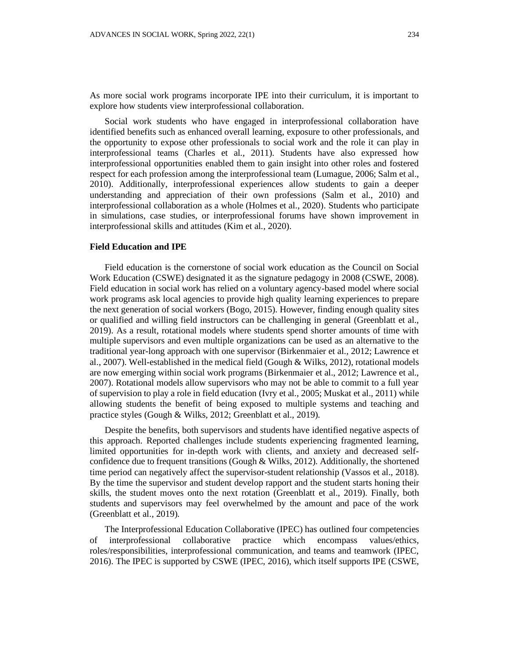As more social work programs incorporate IPE into their curriculum, it is important to explore how students view interprofessional collaboration.

Social work students who have engaged in interprofessional collaboration have identified benefits such as enhanced overall learning, exposure to other professionals, and the opportunity to expose other professionals to social work and the role it can play in interprofessional teams (Charles et al., 2011). Students have also expressed how interprofessional opportunities enabled them to gain insight into other roles and fostered respect for each profession among the interprofessional team (Lumague, 2006; Salm et al., 2010). Additionally, interprofessional experiences allow students to gain a deeper understanding and appreciation of their own professions (Salm et al., 2010) and interprofessional collaboration as a whole (Holmes et al., 2020). Students who participate in simulations, case studies, or interprofessional forums have shown improvement in interprofessional skills and attitudes (Kim et al., 2020).

### **Field Education and IPE**

Field education is the cornerstone of social work education as the Council on Social Work Education (CSWE) designated it as the signature pedagogy in 2008 (CSWE, 2008). Field education in social work has relied on a voluntary agency-based model where social work programs ask local agencies to provide high quality learning experiences to prepare the next generation of social workers (Bogo, 2015). However, finding enough quality sites or qualified and willing field instructors can be challenging in general (Greenblatt et al., 2019). As a result, rotational models where students spend shorter amounts of time with multiple supervisors and even multiple organizations can be used as an alternative to the traditional year-long approach with one supervisor (Birkenmaier et al., 2012; Lawrence et al., 2007). Well-established in the medical field (Gough & Wilks, 2012), rotational models are now emerging within social work programs (Birkenmaier et al., 2012; Lawrence et al., 2007). Rotational models allow supervisors who may not be able to commit to a full year of supervision to play a role in field education (Ivry et al., 2005; Muskat et al., 2011) while allowing students the benefit of being exposed to multiple systems and teaching and practice styles (Gough & Wilks, 2012; Greenblatt et al., 2019).

Despite the benefits, both supervisors and students have identified negative aspects of this approach. Reported challenges include students experiencing fragmented learning, limited opportunities for in-depth work with clients, and anxiety and decreased selfconfidence due to frequent transitions (Gough & Wilks, 2012). Additionally, the shortened time period can negatively affect the supervisor-student relationship (Vassos et al., 2018). By the time the supervisor and student develop rapport and the student starts honing their skills, the student moves onto the next rotation (Greenblatt et al., 2019). Finally, both students and supervisors may feel overwhelmed by the amount and pace of the work (Greenblatt et al., 2019).

The Interprofessional Education Collaborative (IPEC) has outlined four competencies of interprofessional collaborative practice which encompass values/ethics, roles/responsibilities, interprofessional communication, and teams and teamwork (IPEC, 2016). The IPEC is supported by CSWE (IPEC, 2016), which itself supports IPE (CSWE,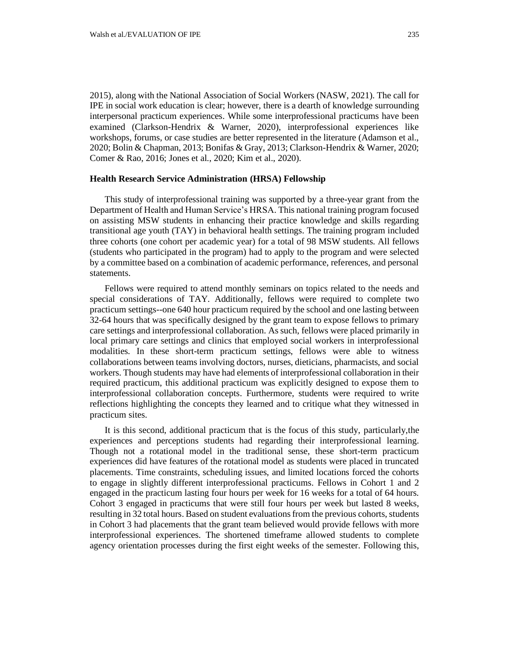examined (Clarkson-Hendrix & Warner, 2020), interprofessional experiences like workshops, forums, or case studies are better represented in the literature (Adamson et al., 2020; Bolin & Chapman, 2013; Bonifas & Gray, 2013; Clarkson-Hendrix & Warner, 2020; Comer & Rao, 2016; Jones et al., 2020; Kim et al., 2020).

### **Health Research Service Administration (HRSA) Fellowship**

This study of interprofessional training was supported by a three-year grant from the Department of Health and Human Service's HRSA. This national training program focused on assisting MSW students in enhancing their practice knowledge and skills regarding transitional age youth (TAY) in behavioral health settings. The training program included three cohorts (one cohort per academic year) for a total of 98 MSW students. All fellows (students who participated in the program) had to apply to the program and were selected by a committee based on a combination of academic performance, references, and personal statements.

Fellows were required to attend monthly seminars on topics related to the needs and special considerations of TAY. Additionally, fellows were required to complete two practicum settings--one 640 hour practicum required by the school and one lasting between 32-64 hours that was specifically designed by the grant team to expose fellows to primary care settings and interprofessional collaboration. As such, fellows were placed primarily in local primary care settings and clinics that employed social workers in interprofessional modalities. In these short-term practicum settings, fellows were able to witness collaborations between teams involving doctors, nurses, dieticians, pharmacists, and social workers. Though students may have had elements of interprofessional collaboration in their required practicum, this additional practicum was explicitly designed to expose them to interprofessional collaboration concepts. Furthermore, students were required to write reflections highlighting the concepts they learned and to critique what they witnessed in practicum sites.

It is this second, additional practicum that is the focus of this study, particularly,the experiences and perceptions students had regarding their interprofessional learning. Though not a rotational model in the traditional sense, these short-term practicum experiences did have features of the rotational model as students were placed in truncated placements. Time constraints, scheduling issues, and limited locations forced the cohorts to engage in slightly different interprofessional practicums. Fellows in Cohort 1 and 2 engaged in the practicum lasting four hours per week for 16 weeks for a total of 64 hours. Cohort 3 engaged in practicums that were still four hours per week but lasted 8 weeks, resulting in 32 total hours. Based on student evaluationsfrom the previous cohorts, students in Cohort 3 had placements that the grant team believed would provide fellows with more interprofessional experiences. The shortened timeframe allowed students to complete agency orientation processes during the first eight weeks of the semester. Following this,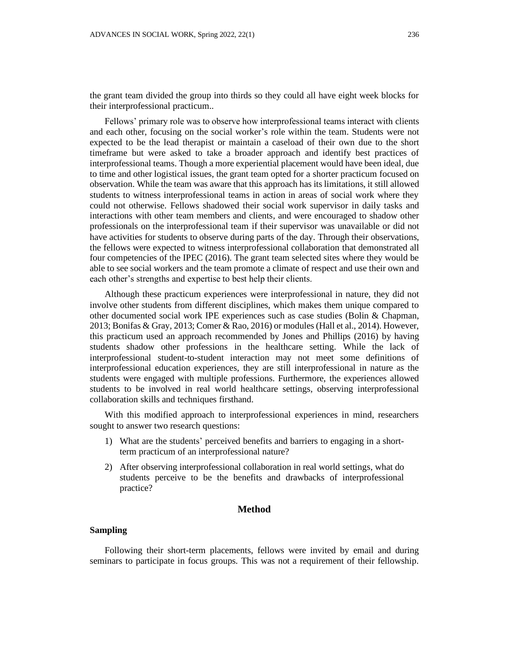the grant team divided the group into thirds so they could all have eight week blocks for their interprofessional practicum..

Fellows' primary role was to observe how interprofessional teams interact with clients and each other, focusing on the social worker's role within the team. Students were not expected to be the lead therapist or maintain a caseload of their own due to the short timeframe but were asked to take a broader approach and identify best practices of interprofessional teams. Though a more experiential placement would have been ideal, due to time and other logistical issues, the grant team opted for a shorter practicum focused on observation. While the team was aware that this approach has its limitations, it still allowed students to witness interprofessional teams in action in areas of social work where they could not otherwise. Fellows shadowed their social work supervisor in daily tasks and interactions with other team members and clients, and were encouraged to shadow other professionals on the interprofessional team if their supervisor was unavailable or did not have activities for students to observe during parts of the day. Through their observations, the fellows were expected to witness interprofessional collaboration that demonstrated all four competencies of the IPEC (2016). The grant team selected sites where they would be able to see social workers and the team promote a climate of respect and use their own and each other's strengths and expertise to best help their clients.

Although these practicum experiences were interprofessional in nature, they did not involve other students from different disciplines, which makes them unique compared to other documented social work IPE experiences such as case studies (Bolin & Chapman, 2013; Bonifas & Gray, 2013; Comer & Rao, 2016) or modules (Hall et al., 2014). However, this practicum used an approach recommended by Jones and Phillips (2016) by having students shadow other professions in the healthcare setting. While the lack of interprofessional student-to-student interaction may not meet some definitions of interprofessional education experiences, they are still interprofessional in nature as the students were engaged with multiple professions. Furthermore, the experiences allowed students to be involved in real world healthcare settings, observing interprofessional collaboration skills and techniques firsthand.

With this modified approach to interprofessional experiences in mind, researchers sought to answer two research questions:

- 1) What are the students' perceived benefits and barriers to engaging in a shortterm practicum of an interprofessional nature?
- 2) After observing interprofessional collaboration in real world settings, what do students perceive to be the benefits and drawbacks of interprofessional practice?

## **Method**

## **Sampling**

Following their short-term placements, fellows were invited by email and during seminars to participate in focus groups. This was not a requirement of their fellowship.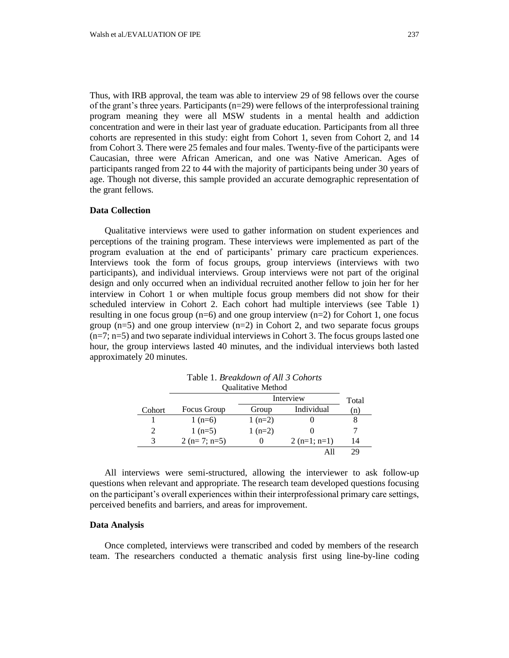Thus, with IRB approval, the team was able to interview 29 of 98 fellows over the course of the grant's three years. Participants  $(n=29)$  were fellows of the interprofessional training program meaning they were all MSW students in a mental health and addiction concentration and were in their last year of graduate education. Participants from all three cohorts are represented in this study: eight from Cohort 1, seven from Cohort 2, and 14 from Cohort 3. There were 25 females and four males. Twenty-five of the participants were Caucasian, three were African American, and one was Native American. Ages of participants ranged from 22 to 44 with the majority of participants being under 30 years of age. Though not diverse, this sample provided an accurate demographic representation of the grant fellows.

# **Data Collection**

Qualitative interviews were used to gather information on student experiences and perceptions of the training program. These interviews were implemented as part of the program evaluation at the end of participants' primary care practicum experiences. Interviews took the form of focus groups, group interviews (interviews with two participants), and individual interviews. Group interviews were not part of the original design and only occurred when an individual recruited another fellow to join her for her interview in Cohort 1 or when multiple focus group members did not show for their scheduled interview in Cohort 2. Each cohort had multiple interviews (see Table 1) resulting in one focus group  $(n=6)$  and one group interview  $(n=2)$  for Cohort 1, one focus group  $(n=5)$  and one group interview  $(n=2)$  in Cohort 2, and two separate focus groups (n=7; n=5) and two separate individual interviews in Cohort 3. The focus groups lasted one hour, the group interviews lasted 40 minutes, and the individual interviews both lasted approximately 20 minutes.

|        | Quantative ivietnou |           |               |       |
|--------|---------------------|-----------|---------------|-------|
|        |                     | Interview |               | Total |
| Cohort | Focus Group         | Group     | Individual    | (n)   |
|        | 1 $(n=6)$           | $1(n=2)$  |               |       |
| 2      | $1(n=5)$            | $1(n=2)$  |               |       |
| 3      | $2(n=7; n=5)$       |           | $2(n=1; n=1)$ | 14    |
|        |                     |           |               | 29    |

Table 1. *Breakdown of All 3 Cohorts* Qualitative Method

All interviews were semi-structured, allowing the interviewer to ask follow-up questions when relevant and appropriate. The research team developed questions focusing on the participant's overall experiences within their interprofessional primary care settings, perceived benefits and barriers, and areas for improvement.

## **Data Analysis**

Once completed, interviews were transcribed and coded by members of the research team. The researchers conducted a thematic analysis first using line-by-line coding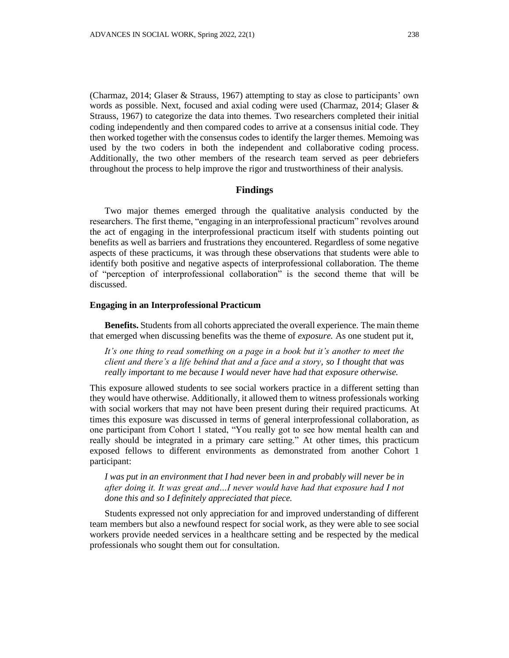(Charmaz, 2014; Glaser & Strauss, 1967) attempting to stay as close to participants' own words as possible. Next, focused and axial coding were used (Charmaz, 2014; Glaser & Strauss, 1967) to categorize the data into themes. Two researchers completed their initial coding independently and then compared codes to arrive at a consensus initial code. They then worked together with the consensus codes to identify the larger themes. Memoing was used by the two coders in both the independent and collaborative coding process. Additionally, the two other members of the research team served as peer debriefers throughout the process to help improve the rigor and trustworthiness of their analysis.

### **Findings**

Two major themes emerged through the qualitative analysis conducted by the researchers. The first theme, "engaging in an interprofessional practicum" revolves around the act of engaging in the interprofessional practicum itself with students pointing out benefits as well as barriers and frustrations they encountered. Regardless of some negative aspects of these practicums, it was through these observations that students were able to identify both positive and negative aspects of interprofessional collaboration. The theme of "perception of interprofessional collaboration" is the second theme that will be discussed.

#### **Engaging in an Interprofessional Practicum**

**Benefits.** Students from all cohorts appreciated the overall experience. The main theme that emerged when discussing benefits was the theme of *exposure.* As one student put it,

*It's one thing to read something on a page in a book but it's another to meet the client and there's a life behind that and a face and a story, so I thought that was really important to me because I would never have had that exposure otherwise.*

This exposure allowed students to see social workers practice in a different setting than they would have otherwise. Additionally, it allowed them to witness professionals working with social workers that may not have been present during their required practicums. At times this exposure was discussed in terms of general interprofessional collaboration, as one participant from Cohort 1 stated, "You really got to see how mental health can and really should be integrated in a primary care setting." At other times, this practicum exposed fellows to different environments as demonstrated from another Cohort 1 participant:

*I was put in an environment that I had never been in and probably will never be in after doing it. It was great and…I never would have had that exposure had I not done this and so I definitely appreciated that piece.*

Students expressed not only appreciation for and improved understanding of different team members but also a newfound respect for social work, as they were able to see social workers provide needed services in a healthcare setting and be respected by the medical professionals who sought them out for consultation.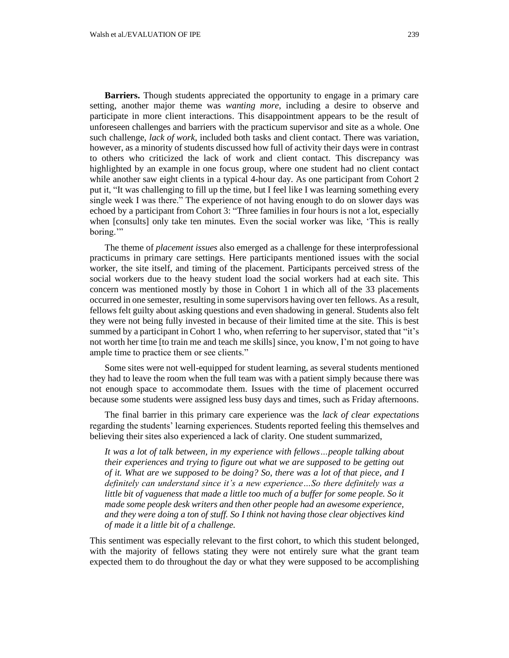**Barriers.** Though students appreciated the opportunity to engage in a primary care setting, another major theme was *wanting more*, including a desire to observe and participate in more client interactions. This disappointment appears to be the result of unforeseen challenges and barriers with the practicum supervisor and site as a whole. One such challenge, *lack of work*, included both tasks and client contact. There was variation, however, as a minority of students discussed how full of activity their days were in contrast to others who criticized the lack of work and client contact. This discrepancy was highlighted by an example in one focus group, where one student had no client contact while another saw eight clients in a typical 4-hour day. As one participant from Cohort 2 put it, "It was challenging to fill up the time, but I feel like I was learning something every single week I was there." The experience of not having enough to do on slower days was echoed by a participant from Cohort 3: "Three families in four hours is not a lot, especially when [consults] only take ten minutes. Even the social worker was like, 'This is really boring."

The theme of *placement issues* also emerged as a challenge for these interprofessional practicums in primary care settings*.* Here participants mentioned issues with the social worker, the site itself, and timing of the placement. Participants perceived stress of the social workers due to the heavy student load the social workers had at each site. This concern was mentioned mostly by those in Cohort 1 in which all of the 33 placements occurred in one semester, resulting in some supervisors having over ten fellows. As a result, fellows felt guilty about asking questions and even shadowing in general. Students also felt they were not being fully invested in because of their limited time at the site. This is best summed by a participant in Cohort 1 who, when referring to her supervisor, stated that "it's not worth her time [to train me and teach me skills] since, you know, I'm not going to have ample time to practice them or see clients."

Some sites were not well-equipped for student learning, as several students mentioned they had to leave the room when the full team was with a patient simply because there was not enough space to accommodate them. Issues with the time of placement occurred because some students were assigned less busy days and times, such as Friday afternoons.

The final barrier in this primary care experience was the *lack of clear expectations* regarding the students' learning experiences. Students reported feeling this themselves and believing their sites also experienced a lack of clarity. One student summarized,

It was a lot of talk between, in my experience with fellows...people talking about *their experiences and trying to figure out what we are supposed to be getting out of it. What are we supposed to be doing? So, there was a lot of that piece, and I definitely can understand since it's a new experience…So there definitely was a little bit of vagueness that made a little too much of a buffer for some people. So it made some people desk writers and then other people had an awesome experience, and they were doing a ton of stuff. So I think not having those clear objectives kind of made it a little bit of a challenge.*

This sentiment was especially relevant to the first cohort, to which this student belonged, with the majority of fellows stating they were not entirely sure what the grant team expected them to do throughout the day or what they were supposed to be accomplishing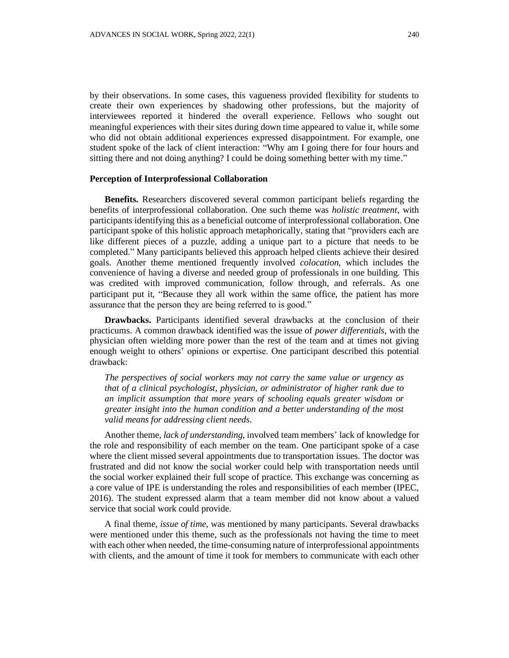by their observations. In some cases, this vagueness provided flexibility for students to create their own experiences by shadowing other professions, but the majority of interviewees reported it hindered the overall experience. Fellows who sought out meaningful experiences with their sites during down time appeared to value it, while some who did not obtain additional experiences expressed disappointment. For example, one student spoke of the lack of client interaction: "Why am I going there for four hours and sitting there and not doing anything? I could be doing something better with my time."

### **Perception of Interprofessional Collaboration**

**Benefits.** Researchers discovered several common participant beliefs regarding the benefits of interprofessional collaboration. One such theme was *holistic treatment*, with participants identifying this as a beneficial outcome of interprofessional collaboration. One participant spoke of this holistic approach metaphorically, stating that "providers each are like different pieces of a puzzle, adding a unique part to a picture that needs to be completed." Many participants believed this approach helped clients achieve their desired goals. Another theme mentioned frequently involved *colocation*, which includes the convenience of having a diverse and needed group of professionals in one building. This was credited with improved communication, follow through, and referrals. As one participant put it, "Because they all work within the same office, the patient has more assurance that the person they are being referred to is good."

**Drawbacks.** Participants identified several drawbacks at the conclusion of their practicums. A common drawback identified was the issue of *power differentials*, with the physician often wielding more power than the rest of the team and at times not giving enough weight to others' opinions or expertise. One participant described this potential drawback:

*The perspectives of social workers may not carry the same value or urgency as that of a clinical psychologist, physician, or administrator of higher rank due to an implicit assumption that more years of schooling equals greater wisdom or greater insight into the human condition and a better understanding of the most valid means for addressing client needs.*

Another theme, *lack of understanding*, involved team members' lack of knowledge for the role and responsibility of each member on the team. One participant spoke of a case where the client missed several appointments due to transportation issues. The doctor was frustrated and did not know the social worker could help with transportation needs until the social worker explained their full scope of practice. This exchange was concerning as a core value of IPE is understanding the roles and responsibilities of each member (IPEC, 2016). The student expressed alarm that a team member did not know about a valued service that social work could provide.

A final theme, *issue of time*, was mentioned by many participants. Several drawbacks were mentioned under this theme, such as the professionals not having the time to meet with each other when needed, the time-consuming nature of interprofessional appointments with clients, and the amount of time it took for members to communicate with each other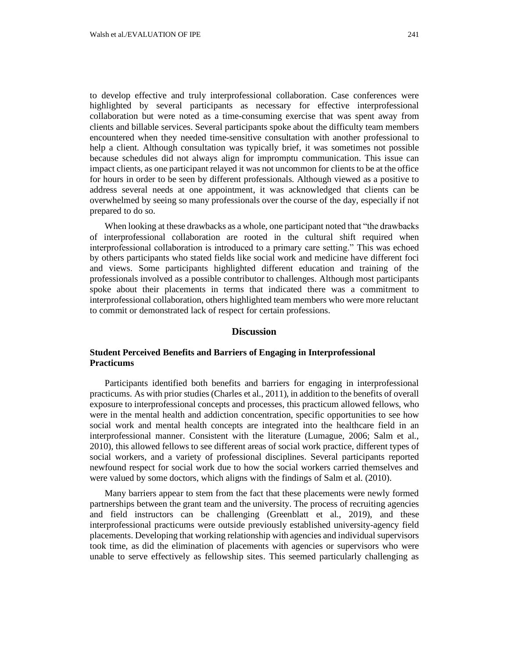to develop effective and truly interprofessional collaboration. Case conferences were highlighted by several participants as necessary for effective interprofessional collaboration but were noted as a time-consuming exercise that was spent away from clients and billable services. Several participants spoke about the difficulty team members encountered when they needed time-sensitive consultation with another professional to help a client. Although consultation was typically brief, it was sometimes not possible because schedules did not always align for impromptu communication. This issue can impact clients, as one participant relayed it was not uncommon for clients to be at the office for hours in order to be seen by different professionals. Although viewed as a positive to address several needs at one appointment, it was acknowledged that clients can be overwhelmed by seeing so many professionals over the course of the day, especially if not prepared to do so.

When looking at these drawbacks as a whole, one participant noted that "the drawbacks of interprofessional collaboration are rooted in the cultural shift required when interprofessional collaboration is introduced to a primary care setting." This was echoed by others participants who stated fields like social work and medicine have different foci and views. Some participants highlighted different education and training of the professionals involved as a possible contributor to challenges. Although most participants spoke about their placements in terms that indicated there was a commitment to interprofessional collaboration, others highlighted team members who were more reluctant to commit or demonstrated lack of respect for certain professions.

## **Discussion**

# **Student Perceived Benefits and Barriers of Engaging in Interprofessional Practicums**

Participants identified both benefits and barriers for engaging in interprofessional practicums. As with prior studies (Charles et al., 2011), in addition to the benefits of overall exposure to interprofessional concepts and processes, this practicum allowed fellows, who were in the mental health and addiction concentration, specific opportunities to see how social work and mental health concepts are integrated into the healthcare field in an interprofessional manner. Consistent with the literature (Lumague, 2006; Salm et al., 2010), this allowed fellows to see different areas of social work practice, different types of social workers, and a variety of professional disciplines. Several participants reported newfound respect for social work due to how the social workers carried themselves and were valued by some doctors, which aligns with the findings of Salm et al. (2010).

Many barriers appear to stem from the fact that these placements were newly formed partnerships between the grant team and the university. The process of recruiting agencies and field instructors can be challenging (Greenblatt et al., 2019), and these interprofessional practicums were outside previously established university-agency field placements. Developing that working relationship with agencies and individual supervisors took time, as did the elimination of placements with agencies or supervisors who were unable to serve effectively as fellowship sites. This seemed particularly challenging as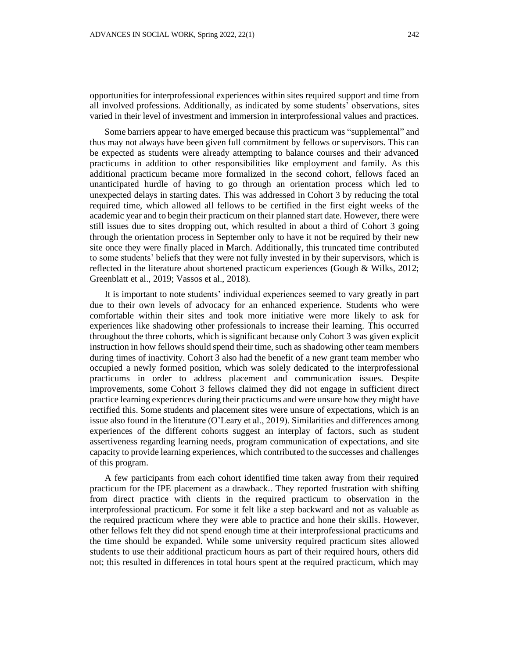opportunities for interprofessional experiences within sites required support and time from all involved professions. Additionally, as indicated by some students' observations, sites varied in their level of investment and immersion in interprofessional values and practices.

Some barriers appear to have emerged because this practicum was "supplemental" and thus may not always have been given full commitment by fellows or supervisors. This can be expected as students were already attempting to balance courses and their advanced practicums in addition to other responsibilities like employment and family. As this additional practicum became more formalized in the second cohort, fellows faced an unanticipated hurdle of having to go through an orientation process which led to unexpected delays in starting dates. This was addressed in Cohort 3 by reducing the total required time, which allowed all fellows to be certified in the first eight weeks of the academic year and to begin their practicum on their planned start date. However, there were still issues due to sites dropping out, which resulted in about a third of Cohort 3 going through the orientation process in September only to have it not be required by their new site once they were finally placed in March. Additionally, this truncated time contributed to some students' beliefs that they were not fully invested in by their supervisors, which is reflected in the literature about shortened practicum experiences (Gough & Wilks, 2012; Greenblatt et al., 2019; Vassos et al., 2018).

It is important to note students' individual experiences seemed to vary greatly in part due to their own levels of advocacy for an enhanced experience. Students who were comfortable within their sites and took more initiative were more likely to ask for experiences like shadowing other professionals to increase their learning. This occurred throughout the three cohorts, which is significant because only Cohort 3 was given explicit instruction in how fellows should spend their time, such as shadowing other team members during times of inactivity. Cohort 3 also had the benefit of a new grant team member who occupied a newly formed position, which was solely dedicated to the interprofessional practicums in order to address placement and communication issues. Despite improvements, some Cohort 3 fellows claimed they did not engage in sufficient direct practice learning experiences during their practicums and were unsure how they might have rectified this. Some students and placement sites were unsure of expectations, which is an issue also found in the literature (O'Leary et al., 2019). Similarities and differences among experiences of the different cohorts suggest an interplay of factors, such as student assertiveness regarding learning needs, program communication of expectations, and site capacity to provide learning experiences, which contributed to the successes and challenges of this program.

A few participants from each cohort identified time taken away from their required practicum for the IPE placement as a drawback.. They reported frustration with shifting from direct practice with clients in the required practicum to observation in the interprofessional practicum. For some it felt like a step backward and not as valuable as the required practicum where they were able to practice and hone their skills. However, other fellows felt they did not spend enough time at their interprofessional practicums and the time should be expanded. While some university required practicum sites allowed students to use their additional practicum hours as part of their required hours, others did not; this resulted in differences in total hours spent at the required practicum, which may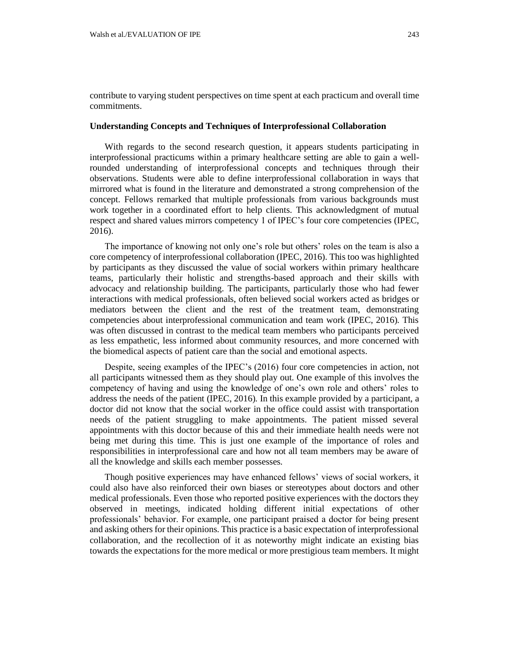contribute to varying student perspectives on time spent at each practicum and overall time commitments.

## **Understanding Concepts and Techniques of Interprofessional Collaboration**

With regards to the second research question, it appears students participating in interprofessional practicums within a primary healthcare setting are able to gain a wellrounded understanding of interprofessional concepts and techniques through their observations. Students were able to define interprofessional collaboration in ways that mirrored what is found in the literature and demonstrated a strong comprehension of the concept. Fellows remarked that multiple professionals from various backgrounds must work together in a coordinated effort to help clients. This acknowledgment of mutual respect and shared values mirrors competency 1 of IPEC's four core competencies (IPEC, 2016).

The importance of knowing not only one's role but others' roles on the team is also a core competency of interprofessional collaboration (IPEC, 2016). This too was highlighted by participants as they discussed the value of social workers within primary healthcare teams, particularly their holistic and strengths-based approach and their skills with advocacy and relationship building. The participants, particularly those who had fewer interactions with medical professionals, often believed social workers acted as bridges or mediators between the client and the rest of the treatment team, demonstrating competencies about interprofessional communication and team work (IPEC, 2016). This was often discussed in contrast to the medical team members who participants perceived as less empathetic, less informed about community resources, and more concerned with the biomedical aspects of patient care than the social and emotional aspects.

Despite, seeing examples of the IPEC's (2016) four core competencies in action, not all participants witnessed them as they should play out. One example of this involves the competency of having and using the knowledge of one's own role and others' roles to address the needs of the patient (IPEC, 2016). In this example provided by a participant, a doctor did not know that the social worker in the office could assist with transportation needs of the patient struggling to make appointments. The patient missed several appointments with this doctor because of this and their immediate health needs were not being met during this time. This is just one example of the importance of roles and responsibilities in interprofessional care and how not all team members may be aware of all the knowledge and skills each member possesses.

Though positive experiences may have enhanced fellows' views of social workers, it could also have also reinforced their own biases or stereotypes about doctors and other medical professionals. Even those who reported positive experiences with the doctors they observed in meetings, indicated holding different initial expectations of other professionals' behavior. For example, one participant praised a doctor for being present and asking others for their opinions. This practice is a basic expectation of interprofessional collaboration, and the recollection of it as noteworthy might indicate an existing bias towards the expectations for the more medical or more prestigious team members. It might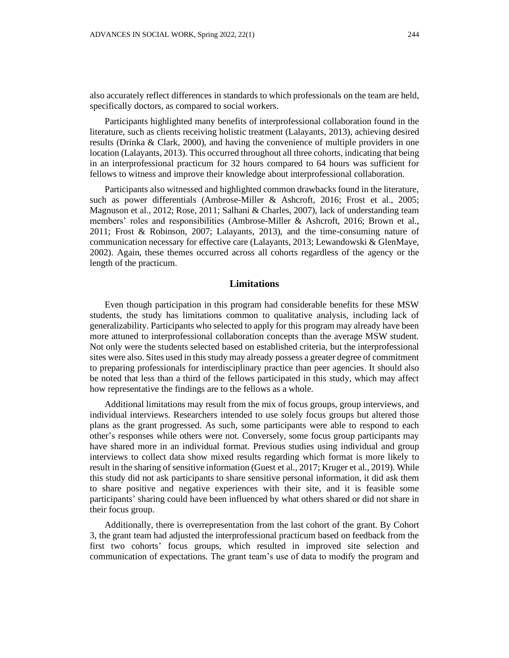also accurately reflect differences in standards to which professionals on the team are held, specifically doctors, as compared to social workers.

Participants highlighted many benefits of interprofessional collaboration found in the literature, such as clients receiving holistic treatment (Lalayants, 2013), achieving desired results (Drinka & Clark, 2000), and having the convenience of multiple providers in one location (Lalayants, 2013). This occurred throughout all three cohorts, indicating that being in an interprofessional practicum for 32 hours compared to 64 hours was sufficient for fellows to witness and improve their knowledge about interprofessional collaboration.

Participants also witnessed and highlighted common drawbacks found in the literature, such as power differentials (Ambrose-Miller & Ashcroft, 2016; Frost et al., 2005; Magnuson et al., 2012; Rose, 2011; Salhani & Charles, 2007), lack of understanding team members' roles and responsibilities (Ambrose-Miller & Ashcroft, 2016; Brown et al., 2011; Frost & Robinson, 2007; Lalayants, 2013), and the time-consuming nature of communication necessary for effective care (Lalayants, 2013; Lewandowski & GlenMaye, 2002). Again, these themes occurred across all cohorts regardless of the agency or the length of the practicum.

## **Limitations**

Even though participation in this program had considerable benefits for these MSW students, the study has limitations common to qualitative analysis, including lack of generalizability. Participants who selected to apply for this program may already have been more attuned to interprofessional collaboration concepts than the average MSW student. Not only were the students selected based on established criteria, but the interprofessional sites were also. Sites used in this study may already possess a greater degree of commitment to preparing professionals for interdisciplinary practice than peer agencies. It should also be noted that less than a third of the fellows participated in this study, which may affect how representative the findings are to the fellows as a whole.

Additional limitations may result from the mix of focus groups, group interviews, and individual interviews. Researchers intended to use solely focus groups but altered those plans as the grant progressed. As such, some participants were able to respond to each other's responses while others were not. Conversely, some focus group participants may have shared more in an individual format. Previous studies using individual and group interviews to collect data show mixed results regarding which format is more likely to result in the sharing of sensitive information (Guest et al., 2017; Kruger et al., 2019). While this study did not ask participants to share sensitive personal information, it did ask them to share positive and negative experiences with their site, and it is feasible some participants' sharing could have been influenced by what others shared or did not share in their focus group.

Additionally, there is overrepresentation from the last cohort of the grant. By Cohort 3, the grant team had adjusted the interprofessional practicum based on feedback from the first two cohorts' focus groups, which resulted in improved site selection and communication of expectations. The grant team's use of data to modify the program and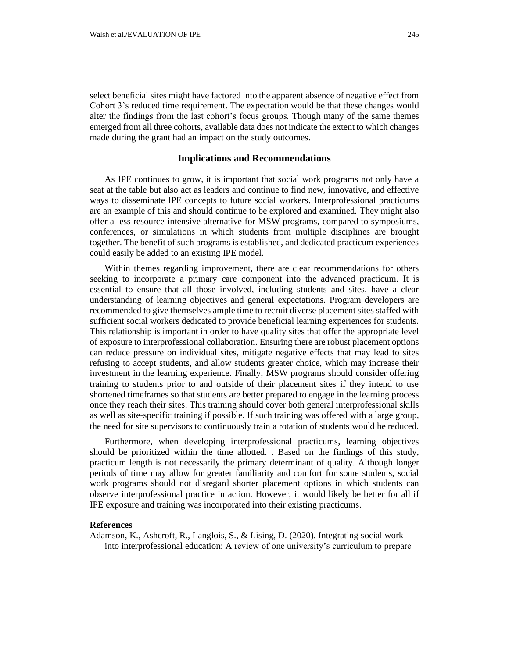select beneficial sites might have factored into the apparent absence of negative effect from Cohort 3's reduced time requirement. The expectation would be that these changes would alter the findings from the last cohort's focus groups. Though many of the same themes emerged from all three cohorts, available data does not indicate the extent to which changes made during the grant had an impact on the study outcomes.

### **Implications and Recommendations**

As IPE continues to grow, it is important that social work programs not only have a seat at the table but also act as leaders and continue to find new, innovative, and effective ways to disseminate IPE concepts to future social workers. Interprofessional practicums are an example of this and should continue to be explored and examined. They might also offer a less resource-intensive alternative for MSW programs, compared to symposiums, conferences, or simulations in which students from multiple disciplines are brought together. The benefit of such programs is established, and dedicated practicum experiences could easily be added to an existing IPE model.

Within themes regarding improvement, there are clear recommendations for others seeking to incorporate a primary care component into the advanced practicum. It is essential to ensure that all those involved, including students and sites, have a clear understanding of learning objectives and general expectations. Program developers are recommended to give themselves ample time to recruit diverse placement sites staffed with sufficient social workers dedicated to provide beneficial learning experiences for students. This relationship is important in order to have quality sites that offer the appropriate level of exposure to interprofessional collaboration. Ensuring there are robust placement options can reduce pressure on individual sites, mitigate negative effects that may lead to sites refusing to accept students, and allow students greater choice, which may increase their investment in the learning experience. Finally, MSW programs should consider offering training to students prior to and outside of their placement sites if they intend to use shortened timeframes so that students are better prepared to engage in the learning process once they reach their sites. This training should cover both general interprofessional skills as well as site-specific training if possible. If such training was offered with a large group, the need for site supervisors to continuously train a rotation of students would be reduced.

Furthermore, when developing interprofessional practicums, learning objectives should be prioritized within the time allotted. . Based on the findings of this study, practicum length is not necessarily the primary determinant of quality. Although longer periods of time may allow for greater familiarity and comfort for some students, social work programs should not disregard shorter placement options in which students can observe interprofessional practice in action. However, it would likely be better for all if IPE exposure and training was incorporated into their existing practicums.

## **References**

Adamson, K., Ashcroft, R., Langlois, S., & Lising, D. (2020). Integrating social work into interprofessional education: A review of one university's curriculum to prepare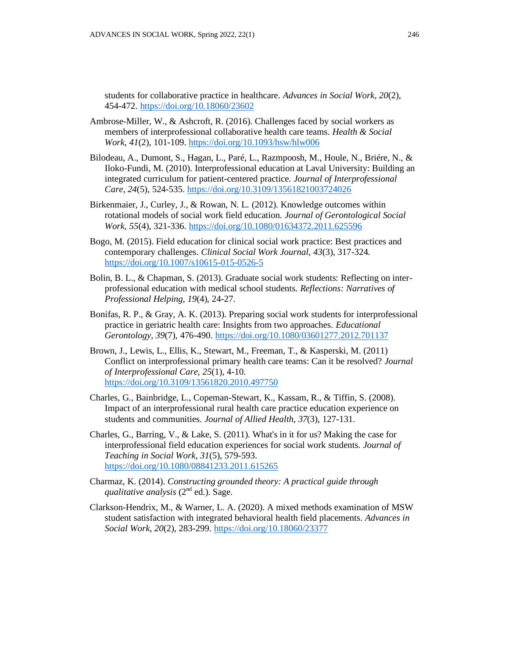students for collaborative practice in healthcare. *Advances in Social Work*, *20*(2), 454-472. <https://doi.org/10.18060/23602>

- Ambrose-Miller, W., & Ashcroft, R. (2016). Challenges faced by social workers as members of interprofessional collaborative health care teams. *Health & Social Work*, *41*(2), 101-109.<https://doi.org/10.1093/hsw/hlw006>
- Bilodeau, A., Dumont, S., Hagan, L., Paré, L., Razmpoosh, M., Houle, N., Briére, N., & Iloko-Fundi, M. (2010). Interprofessional education at Laval University: Building an integrated curriculum for patient-centered practice. *Journal of Interprofessional Care*, *24*(5), 524-535.<https://doi.org/10.3109/13561821003724026>
- Birkenmaier, J., Curley, J., & Rowan, N. L. (2012). Knowledge outcomes within rotational models of social work field education*. Journal of Gerontological Social Work, 55*(4), 321-336. <https://doi.org/10.1080/01634372.2011.625596>
- Bogo, M. (2015). Field education for clinical social work practice: Best practices and contemporary challenges. *Clinical Social Work Journal*, *43*(3), 317-324. <https://doi.org/10.1007/s10615-015-0526-5>
- Bolin, B. L., & Chapman, S. (2013). Graduate social work students: Reflecting on interprofessional education with medical school students. *Reflections: Narratives of Professional Helping*, *19*(4), 24-27.
- Bonifas, R. P., & Gray, A. K. (2013). Preparing social work students for interprofessional practice in geriatric health care: Insights from two approaches. *Educational Gerontology*, *39*(7), 476-490. <https://doi.org/10.1080/03601277.2012.701137>
- Brown, J., Lewis, L., Ellis, K., Stewart, M., Freeman, T., & Kasperski, M. (2011) Conflict on interprofessional primary health care teams: Can it be resolved? *Journal of Interprofessional Care*, *25*(1), 4-10. <https://doi.org/10.3109/13561820.2010.497750>
- Charles, G., Bainbridge, L., Copeman-Stewart, K., Kassam, R., & Tiffin, S. (2008). Impact of an interprofessional rural health care practice education experience on students and communities. *Journal of Allied Health*, *37*(3), 127-131.
- Charles, G., Barring, V., & Lake, S. (2011). What's in it for us? Making the case for interprofessional field education experiences for social work students. *Journal of Teaching in Social Work*, *31*(5), 579-593. <https://doi.org/10.1080/08841233.2011.615265>
- Charmaz, K. (2014). *Constructing grounded theory: A practical guide through*  qualitative analysis (2<sup>nd</sup> ed.). Sage.
- Clarkson-Hendrix, M., & Warner, L. A. (2020). A mixed methods examination of MSW student satisfaction with integrated behavioral health field placements. *Advances in Social Work*, *20*(2), 283-299. <https://doi.org/10.18060/23377>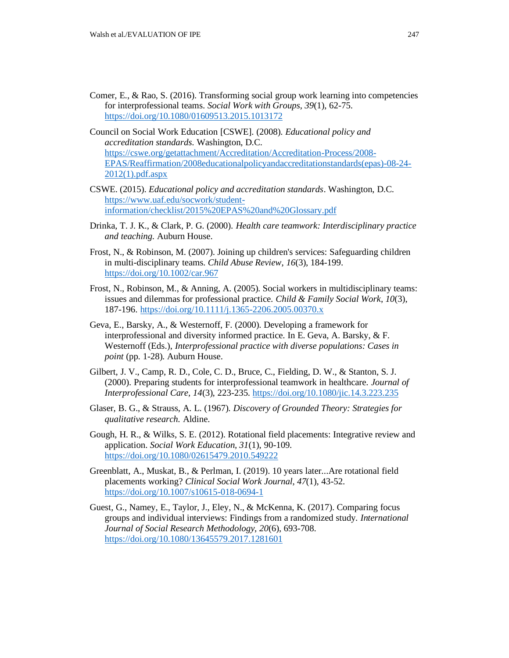- Comer, E., & Rao, S. (2016). Transforming social group work learning into competencies for interprofessional teams. *Social Work with Groups*, *39*(1), 62-75. <https://doi.org/10.1080/01609513.2015.1013172>
- Council on Social Work Education [CSWE]. (2008). *Educational policy and accreditation standards*. Washington, D.C. [https://cswe.org/getattachment/Accreditation/Accreditation-Process/2008-](https://cswe.org/getattachment/Accreditation/Accreditation-Process/2008-EPAS/Reaffirmation/2008educationalpolicyandaccreditationstandards(epas)-08-24-2012(1).pdf.aspx) [EPAS/Reaffirmation/2008educationalpolicyandaccreditationstandards\(epas\)-08-24-](https://cswe.org/getattachment/Accreditation/Accreditation-Process/2008-EPAS/Reaffirmation/2008educationalpolicyandaccreditationstandards(epas)-08-24-2012(1).pdf.aspx) [2012\(1\).pdf.aspx](https://cswe.org/getattachment/Accreditation/Accreditation-Process/2008-EPAS/Reaffirmation/2008educationalpolicyandaccreditationstandards(epas)-08-24-2012(1).pdf.aspx)
- CSWE. (2015). *Educational policy and accreditation standards*. Washington, D.C. [https://www.uaf.edu/socwork/student](https://www.uaf.edu/socwork/student-information/checklist/2015%20EPAS%20and%20Glossary.pdf)[information/checklist/2015%20EPAS%20and%20Glossary.pdf](https://www.uaf.edu/socwork/student-information/checklist/2015%20EPAS%20and%20Glossary.pdf)
- Drinka, T. J. K., & Clark, P. G. (2000). *Health care teamwork: Interdisciplinary practice and teaching*. Auburn House.
- Frost, N., & Robinson, M. (2007). Joining up children's services: Safeguarding children in multi-disciplinary teams. *Child Abuse Review*, *16*(3), 184-199. <https://doi.org/10.1002/car.967>
- Frost, N., Robinson, M., & Anning, A. (2005). Social workers in multidisciplinary teams: issues and dilemmas for professional practice. *Child & Family Social Work*, *10*(3), 187-196. <https://doi.org/10.1111/j.1365-2206.2005.00370.x>
- Geva, E., Barsky, A., & Westernoff, F. (2000). Developing a framework for interprofessional and diversity informed practice. In E. Geva, A. Barsky, & F. Westernoff (Eds.), *Interprofessional practice with diverse populations: Cases in point* (pp. 1-28). Auburn House.
- Gilbert, J. V., Camp, R. D., Cole, C. D., Bruce, C., Fielding, D. W., & Stanton, S. J. (2000). Preparing students for interprofessional teamwork in healthcare. *Journal of Interprofessional Care, 14*(3), 223-235. <https://doi.org/10.1080/jic.14.3.223.235>
- Glaser, B. G., & Strauss, A. L. (1967). *Discovery of Grounded Theory: Strategies for qualitative research.* Aldine.
- Gough, H. R., & Wilks, S. E. (2012). Rotational field placements: Integrative review and application. *Social Work Education, 31*(1), 90-109. <https://doi.org/10.1080/02615479.2010.549222>
- Greenblatt, A., Muskat, B., & Perlman, I. (2019). 10 years later...Are rotational field placements working? *Clinical Social Work Journal*, *47*(1), 43-52. <https://doi.org/10.1007/s10615-018-0694-1>
- Guest, G., Namey, E., Taylor, J., Eley, N., & McKenna, K. (2017). Comparing focus groups and individual interviews: Findings from a randomized study. *International Journal of Social Research Methodology*, *20*(6), 693-708. <https://doi.org/10.1080/13645579.2017.1281601>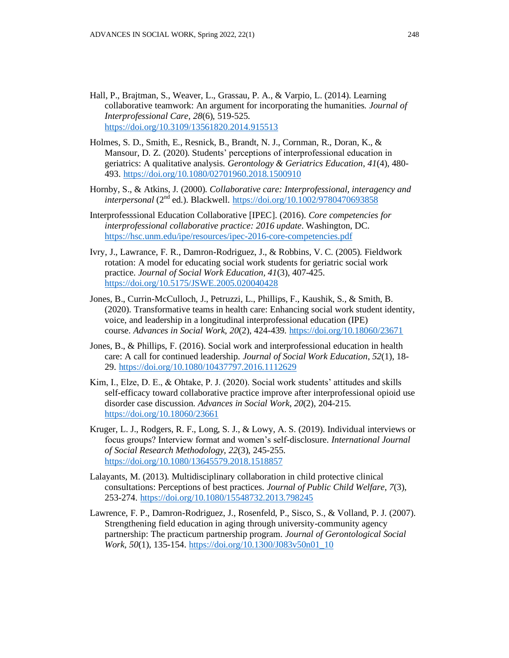- Hall, P., Brajtman, S., Weaver, L., Grassau, P. A., & Varpio, L. (2014). Learning collaborative teamwork: An argument for incorporating the humanities. *Journal of Interprofessional Care*, *28*(6), 519-525. <https://doi.org/10.3109/13561820.2014.915513>
- Holmes, S. D., Smith, E., Resnick, B., Brandt, N. J., Cornman, R., Doran, K., & Mansour, D. Z. (2020). Students' perceptions of interprofessional education in geriatrics: A qualitative analysis. *Gerontology & Geriatrics Education*, *41*(4), 480- 493. <https://doi.org/10.1080/02701960.2018.1500910>
- Hornby, S., & Atkins, J. (2000). *Collaborative care: Interprofessional, interagency and interpersonal* (2nd ed.). Blackwell. <https://doi.org/10.1002/9780470693858>
- Interprofesssional Education Collaborative [IPEC]. (2016). *Core competencies for interprofessional collaborative practice: 2016 update*. Washington, DC. <https://hsc.unm.edu/ipe/resources/ipec-2016-core-competencies.pdf>
- Ivry, J., Lawrance, F. R., Damron-Rodriguez, J., & Robbins, V. C. (2005). Fieldwork rotation: A model for educating social work students for geriatric social work practice. *Journal of Social Work Education, 41*(3), 407-425. <https://doi.org/10.5175/JSWE.2005.020040428>
- Jones, B., Currin-McCulloch, J., Petruzzi, L., Phillips, F., Kaushik, S., & Smith, B. (2020). Transformative teams in health care: Enhancing social work student identity, voice, and leadership in a longitudinal interprofessional education (IPE) course. *Advances in Social Work*, *20*(2), 424-439. <https://doi.org/10.18060/23671>
- Jones, B., & Phillips, F. (2016). Social work and interprofessional education in health care: A call for continued leadership. *Journal of Social Work Education*, *52*(1), 18- 29. <https://doi.org/10.1080/10437797.2016.1112629>
- Kim, I., Elze, D. E., & Ohtake, P. J. (2020). Social work students' attitudes and skills self-efficacy toward collaborative practice improve after interprofessional opioid use disorder case discussion. *Advances in Social Work*, *20*(2), 204-215. <https://doi.org/10.18060/23661>
- Kruger, L. J., Rodgers, R. F., Long, S. J., & Lowy, A. S. (2019). Individual interviews or focus groups? Interview format and women's self-disclosure. *International Journal of Social Research Methodology*, *22*(3), 245-255. <https://doi.org/10.1080/13645579.2018.1518857>
- Lalayants, M. (2013). Multidisciplinary collaboration in child protective clinical consultations: Perceptions of best practices. *Journal of Public Child Welfare*, *7*(3), 253-274. <https://doi.org/10.1080/15548732.2013.798245>
- Lawrence, F. P., Damron-Rodriguez, J., Rosenfeld, P., Sisco, S., & Volland, P. J. (2007). Strengthening field education in aging through university-community agency partnership: The practicum partnership program. *Journal of Gerontological Social Work, 50(1), 135-154. [https://doi.org/10.1300/J083v50n01\\_10](https://doi.org/10.1300/J083v50n01_10)*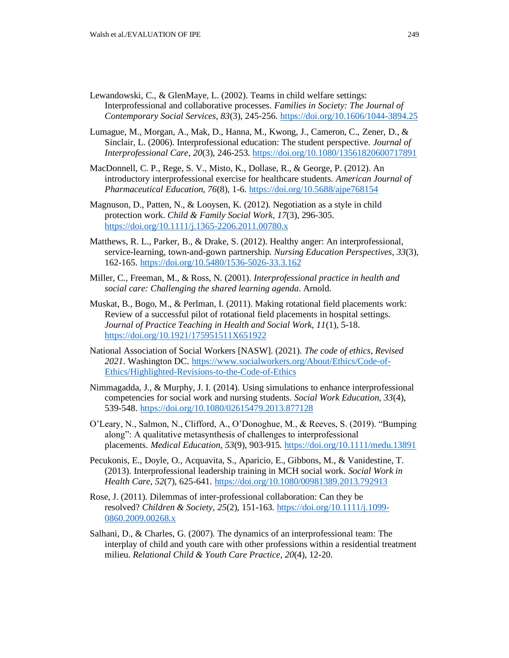- Lewandowski, C., & GlenMaye, L. (2002). Teams in child welfare settings: Interprofessional and collaborative processes. *Families in Society: The Journal of Contemporary Social Services, 83*(3), 245-256. <https://doi.org/10.1606/1044-3894.25>
- Lumague, M., Morgan, A., Mak, D., Hanna, M., Kwong, J., Cameron, C., Zener, D., & Sinclair, L. (2006). Interprofessional education: The student perspective. *Journal of Interprofessional Care*, *20*(3), 246-253. <https://doi.org/10.1080/13561820600717891>
- MacDonnell, C. P., Rege, S. V., Misto, K., Dollase, R., & George, P. (2012). An introductory interprofessional exercise for healthcare students. *American Journal of Pharmaceutical Education, 76*(8), 1-6. <https://doi.org/10.5688/ajpe768154>
- Magnuson, D., Patten, N., & Looysen, K. (2012). Negotiation as a style in child protection work. *Child & Family Social Work*, *17*(3), 296-305. <https://doi.org/10.1111/j.1365-2206.2011.00780.x>
- Matthews, R. L., Parker, B., & Drake, S. (2012). Healthy anger: An interprofessional, service-learning, town-and-gown partnership*. Nursing Education Perspectives, 33*(3), 162-165. <https://doi.org/10.5480/1536-5026-33.3.162>
- Miller, C., Freeman, M., & Ross, N. (2001). *Interprofessional practice in health and social care: Challenging the shared learning agenda*. Arnold.
- Muskat, B., Bogo, M., & Perlman, I. (2011). Making rotational field placements work: Review of a successful pilot of rotational field placements in hospital settings. *Journal of Practice Teaching in Health and Social Work, 11*(1), 5-18. <https://doi.org/10.1921/175951511X651922>
- National Association of Social Workers [NASW]. (2021). *The code of ethics, Revised 2021*. Washington DC. [https://www.socialworkers.org/About/Ethics/Code-of-](https://www.socialworkers.org/About/Ethics/Code-of-Ethics/Highlighted-Revisions-to-the-Code-of-Ethics)[Ethics/Highlighted-Revisions-to-the-Code-of-Ethics](https://www.socialworkers.org/About/Ethics/Code-of-Ethics/Highlighted-Revisions-to-the-Code-of-Ethics)
- Nimmagadda, J., & Murphy, J. I. (2014). Using simulations to enhance interprofessional competencies for social work and nursing students. *Social Work Education, 33*(4), 539-548. <https://doi.org/10.1080/02615479.2013.877128>
- O'Leary, N., Salmon, N., Clifford, A., O'Donoghue, M., & Reeves, S. (2019). "Bumping along": A qualitative metasynthesis of challenges to interprofessional placements. *Medical Education*, *53*(9), 903-915.<https://doi.org/10.1111/medu.13891>
- Pecukonis, E., Doyle, O., Acquavita, S., Aparicio, E., Gibbons, M., & Vanidestine, T. (2013). Interprofessional leadership training in MCH social work. *Social Work in Health Care, 52*(7), 625-641. <https://doi.org/10.1080/00981389.2013.792913>
- Rose, J. (2011). Dilemmas of inter-professional collaboration: Can they be resolved? *Children & Society*, *25*(2), 151-163. [https://doi.org/10.1111/j.1099-](https://doi.org/10.1111/j.1099-0860.2009.00268.x) [0860.2009.00268.x](https://doi.org/10.1111/j.1099-0860.2009.00268.x)
- Salhani, D., & Charles, G. (2007). The dynamics of an interprofessional team: The interplay of child and youth care with other professions within a residential treatment milieu. *Relational Child & Youth Care Practice*, *20*(4), 12-20.